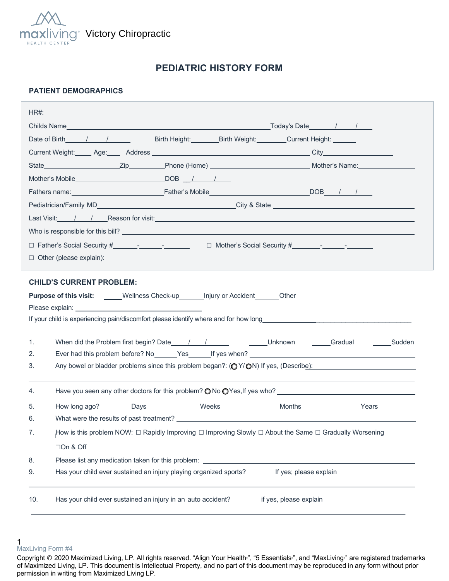

# **PEDIATRIC HISTORY FORM**

### **PATIENT DEMOGRAPHICS**

|                                          | Date of Birth 1 / / Birth Height: Birth Weight: Current Height:                                        |        |                                                                                                                   |
|------------------------------------------|--------------------------------------------------------------------------------------------------------|--------|-------------------------------------------------------------------------------------------------------------------|
|                                          |                                                                                                        |        |                                                                                                                   |
|                                          |                                                                                                        |        |                                                                                                                   |
|                                          | Mother's Mobile DOB / / /                                                                              |        |                                                                                                                   |
|                                          |                                                                                                        |        |                                                                                                                   |
|                                          |                                                                                                        |        |                                                                                                                   |
|                                          |                                                                                                        |        |                                                                                                                   |
|                                          |                                                                                                        |        |                                                                                                                   |
|                                          |                                                                                                        |        |                                                                                                                   |
| $\Box$ Other (please explain):           |                                                                                                        |        |                                                                                                                   |
|                                          |                                                                                                        |        |                                                                                                                   |
| <b>CHILD'S CURRENT PROBLEM:</b>          |                                                                                                        |        |                                                                                                                   |
|                                          | Purpose of this visit: _____Wellness Check-up_______Injury or Accident_______Other                     |        |                                                                                                                   |
|                                          |                                                                                                        |        |                                                                                                                   |
|                                          |                                                                                                        |        |                                                                                                                   |
| 1.                                       |                                                                                                        |        |                                                                                                                   |
| 2.                                       |                                                                                                        |        |                                                                                                                   |
|                                          |                                                                                                        |        |                                                                                                                   |
| 3.                                       |                                                                                                        |        | Any bowel or bladder problems since this problem began?: $\left(\bigcirc Y/\bigcirc N\right)$ If yes, (Describe): |
| 4.                                       |                                                                                                        |        |                                                                                                                   |
|                                          |                                                                                                        |        |                                                                                                                   |
| How long ago? __________Days<br>5.<br>6. | Weeks                                                                                                  | Months | <b>Example 2</b> Years                                                                                            |
| 7.                                       |                                                                                                        |        |                                                                                                                   |
|                                          | How is this problem NOW: □ Rapidly Improving □ Improving Slowly □ About the Same □ Gradually Worsening |        |                                                                                                                   |
| □On & Off                                |                                                                                                        |        |                                                                                                                   |
| 8.<br>9.                                 |                                                                                                        |        |                                                                                                                   |
|                                          | Has your child ever sustained an injury playing organized sports? If yes; please explain               |        |                                                                                                                   |

<sup>1</sup>  MaxLiving Form #4

Copyright © 2020 Maximized Living, LP. All rights reserved. "Align Your Health<sup>™</sup>, "5 Essentials<sup>®</sup>, and "MaxLiving<sup>®</sup> are registered trademarks of Maximized Living, LP. This document is Intellectual Property, and no part of this document may be reproduced in any form without prior permission in writing from Maximized Living LP.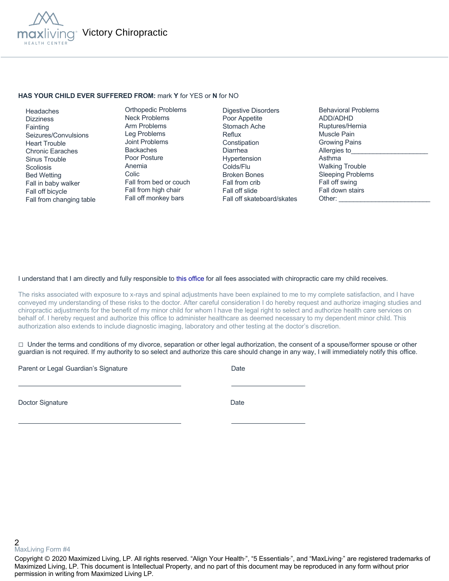

#### **HAS YOUR CHILD EVER SUFFERED FROM:** mark **Y** for YES or **N** for NO

 Headaches **Dizziness Fainting**  Seizures/Convulsions Heart Trouble Chronic Earaches Sinus Trouble **Scoliosis**  Bed Wetting Fall in baby walker Fall off bicycle Fall from changing table

Orthopedic Problems Neck Problems Arm Problems Leg Problems Joint Problems Backaches Poor Posture Anemia Colic Fall from bed or couch Fall from high chair Fall off monkey bars

Digestive Disorders Poor Appetite Stomach Ache Reflux Constipation Diarrhea Hypertension Colds/Flu Broken Bones Fall from crib Fall off slide Fall off skateboard/skates Behavioral Problems ADD/ADHD Ruptures/Hernia Muscle Pain Growing Pains Allergies to Asthma Walking Trouble Sleeping Problems Fall off swing Fall down stairs Other:

### I understand that I am directly and fully responsible to this office for all fees associated with chiropractic care my child receives.

The risks associated with exposure to x-rays and spinal adjustments have been explained to me to my complete satisfaction, and I have conveyed my understanding of these risks to the doctor. After careful consideration I do hereby request and authorize imaging studies and chiropractic adjustments for the benefit of my minor child for whom I have the legal right to select and authorize health care services on behalf of. I hereby request and authorize this office to administer healthcare as deemed necessary to my dependent minor child. This authorization also extends to include diagnostic imaging, laboratory and other testing at the doctor's discretion.

 $\Box$  Under the terms and conditions of my divorce, separation or other legal authorization, the consent of a spouse/former spouse or other guardian is not required. If my authority to so select and authorize this care should change in any way, I will immediately notify this office.

Parent or Legal Guardian's Signature Date Date

Doctor Signature Date

2 MaxLiving Form #4

Copyright © 2020 Maximized Living, LP. All rights reserved. "Align Your Health<sub>"</sub>, "5 Essentials<sub>"</sub>, and "MaxLiving<sub>"</sub> are registered trademarks of Maximized Living, LP. This document is Intellectual Property, and no part of this document may be reproduced in any form without prior permission in writing from Maximized Living LP.